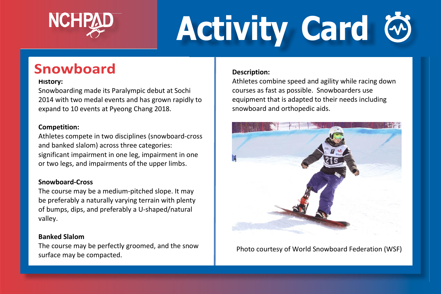

# **Activity Card**

## **Snowboard**

#### **History:**

Snowboarding made its Paralympic debut at Sochi 2014 with two medal events and has grown rapidly to expand to 10 events at Pyeong Chang 2018.

#### **Competition:**

Athletes compete in two disciplines (snowboard-cross and banked slalom) across three categories: significant impairment in one leg, impairment in one or two legs, and impairments of the upper limbs.

#### **Snowboard-Cross**

The course may be a medium-pitched slope. It may be preferably a naturally varying terrain with plenty of bumps, dips, and preferably a U-shaped/natural valley.

#### **Banked Slalom**

The course may be perfectly groomed, and the snow surface may be compacted.

#### **Description:**

Athletes combine speed and agility while racing down courses as fast as possible. Snowboarders use equipment that is adapted to their needs including snowboard and orthopedic aids.



Photo courtesy of World Snowboard Federation (WSF)